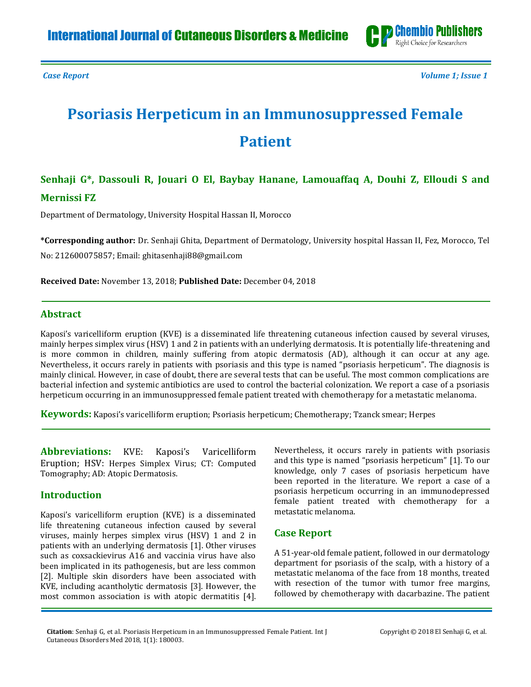

*Case Report Volume 1; Issue 1*

# **Psoriasis Herpeticum in an Immunosuppressed Female Patient**

# **Senhaji G\*, Dassouli R, Jouari O El, Baybay Hanane, Lamouaffaq A, Douhi Z, Elloudi S and Mernissi FZ**

Department of Dermatology, University Hospital Hassan II, Morocco

**\*Corresponding author:** Dr. Senhaji Ghita, Department of Dermatology, University hospital Hassan II, Fez, Morocco, Tel

No: 212600075857; Email[: ghitasenhaji88@gmail.com](mailto:ghitasenhaji88@gmail.com)

**Received Date:** November 13, 2018; **Published Date:** December 04, 2018

## **Abstract**

Kaposi's varicelliform eruption (KVE) is a disseminated life threatening cutaneous infection caused by several viruses, mainly herpes simplex virus (HSV) 1 and 2 in patients with an underlying dermatosis. It is potentially life-threatening and is more common in children, mainly suffering from atopic dermatosis (AD), although it can occur at any age. Nevertheless, it occurs rarely in patients with psoriasis and this type is named "psoriasis herpeticum". The diagnosis is mainly clinical. However, in case of doubt, there are several tests that can be useful. The most common complications are bacterial infection and systemic antibiotics are used to control the bacterial colonization. We report a case of a psoriasis herpeticum occurring in an immunosuppressed female patient treated with chemotherapy for a metastatic melanoma.

**Keywords:** Kaposi's varicelliform eruption; Psoriasis herpeticum; Chemotherapy; Tzanck smear; Herpes

**Abbreviations:** KVE: Kaposi's Varicelliform Eruption; HSV: Herpes Simplex Virus; CT: Computed Tomography; AD: Atopic Dermatosis.

#### **Introduction**

Kaposi's varicelliform eruption (KVE) is a disseminated life threatening cutaneous infection caused by several viruses, mainly herpes simplex virus (HSV) 1 and 2 in patients with an underlying dermatosis [\[1\]](#page-2-0). Other viruses such as coxsackievirus A16 and vaccinia virus have also been implicated in its pathogenesis, but are less common [\[2\]](#page-2-1). Multiple skin disorders have been associated with KVE, including acantholytic dermatosis [\[3\]](#page-2-2). However, the most common association is with atopic dermatitis [\[4\]](#page-2-3). Nevertheless, it occurs rarely in patients with psoriasis and this type is named "psoriasis herpeticum" [\[1\]](#page-2-0). To our knowledge, only 7 cases of psoriasis herpeticum have been reported in the literature. We report a case of a psoriasis herpeticum occurring in an immunodepressed female patient treated with chemotherapy for a metastatic melanoma.

# **Case Report**

A 51-year-old female patient, followed in our dermatology department for psoriasis of the scalp, with a history of a metastatic melanoma of the face from 18 months, treated with resection of the tumor with tumor free margins, followed by chemotherapy with dacarbazine. The patient

**Citation**: Senhaji G, et al. Psoriasis Herpeticum in an Immunosuppressed Female Patient. Int J Cutaneous Disorders Med 2018, 1(1): 180003.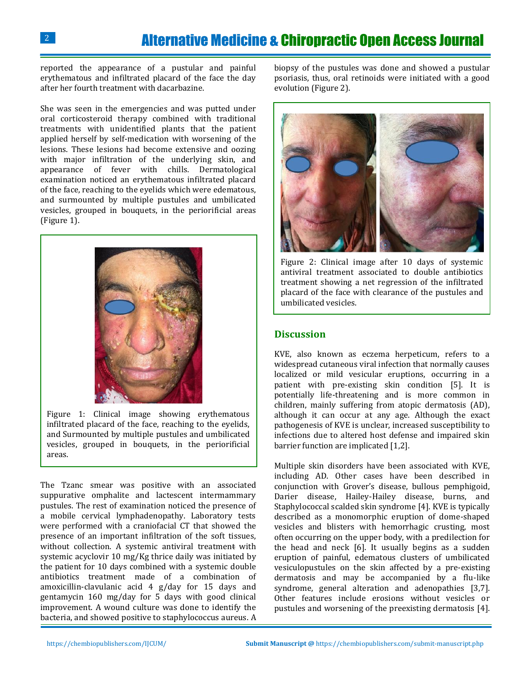reported the appearance of a pustular and painful erythematous and infiltrated placard of the face the day after her fourth treatment with dacarbazine.

She was seen in the emergencies and was putted under oral corticosteroid therapy combined with traditional treatments with unidentified plants that the patient applied herself by self-medication with worsening of the lesions. These lesions had become extensive and oozing with major infiltration of the underlying skin, and appearance of fever with chills. Dermatological examination noticed an erythematous infiltrated placard of the face, reaching to the eyelids which were edematous, and surmounted by multiple pustules and umbilicated vesicles, grouped in bouquets, in the periorificial areas (Figure 1).



Figure 1: Clinical image showing erythematous infiltrated placard of the face, reaching to the eyelids, and Surmounted by multiple pustules and umbilicated vesicles, grouped in bouquets, in the periorificial areas.

The Tzanc smear was positive with an associated suppurative omphalite and lactescent intermammary pustules. The rest of examination noticed the presence of a mobile cervical lymphadenopathy. Laboratory tests were performed with a craniofacial CT that showed the presence of an important infiltration of the soft tissues, without collection. A systemic antiviral treatment with systemic acyclovir 10 mg/Kg thrice daily was initiated by the patient for 10 days combined with a systemic double antibiotics treatment made of a combination of amoxicillin-clavulanic acid 4 g/day for 15 days and gentamycin 160 mg/day for 5 days with good clinical improvement. A wound culture was done to identify the bacteria, and showed positive to staphylococcus aureus. A

biopsy of the pustules was done and showed a pustular psoriasis, thus, oral retinoids were initiated with a good evolution (Figure 2).



Figure 2: Clinical image after 10 days of systemic antiviral treatment associated to double antibiotics treatment showing a net regression of the infiltrated placard of the face with clearance of the pustules and umbilicated vesicles.

### **Discussion**

KVE, also known as eczema herpeticum, refers to a widespread cutaneous viral infection that normally causes localized or mild vesicular eruptions, occurring in a patient with pre-existing skin condition [\[5\]](#page-2-4). It is potentially life-threatening and is more common in children, mainly suffering from atopic dermatosis (AD), although it can occur at any age. Although the exact pathogenesis of KVE is unclear, increased susceptibility to infections due to altered host defense and impaired skin barrier function are implicated [\[1,](#page-2-0)[2\]](#page-2-1).

Multiple skin disorders have been associated with KVE, including AD. Other cases have been described in conjunction with Grover's disease, bullous pemphigoid, Darier disease, Hailey-Hailey disease, burns, and Staphylococcal scalded skin syndrome [\[4\]](#page-2-3). KVE is typically described as a monomorphic eruption of dome-shaped vesicles and blisters with hemorrhagic crusting, most often occurring on the upper body, with a predilection for the head and neck [\[6\]](#page-2-5). It usually begins as a sudden eruption of painful, edematous clusters of umbilicated vesiculopustules on the skin affected by a pre-existing dermatosis and may be accompanied by a flu-like syndrome, general alteration and adenopathies [\[3](#page-2-2)[,7\]](#page-2-6). Other features include erosions without vesicles or pustules and worsening of the preexisting dermatosis [4].